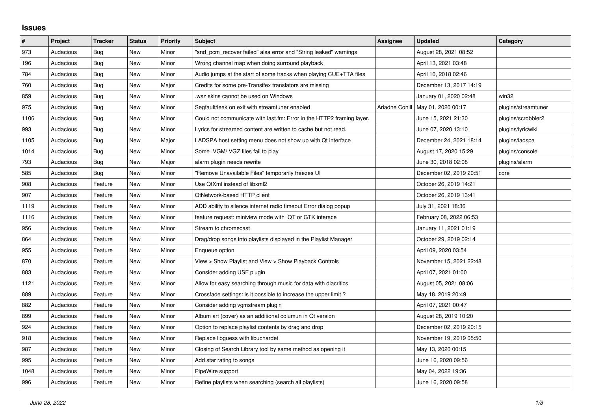## **Issues**

| #    | Project   | <b>Tracker</b> | <b>Status</b> | <b>Priority</b> | <b>Subject</b>                                                        | <b>Assignee</b> | <b>Updated</b>          | Category            |
|------|-----------|----------------|---------------|-----------------|-----------------------------------------------------------------------|-----------------|-------------------------|---------------------|
| 973  | Audacious | Bug            | <b>New</b>    | Minor           | "snd pcm recover failed" alsa error and "String leaked" warnings      |                 | August 28, 2021 08:52   |                     |
| 196  | Audacious | <b>Bug</b>     | <b>New</b>    | Minor           | Wrong channel map when doing surround playback                        |                 | April 13, 2021 03:48    |                     |
| 784  | Audacious | Bug            | New           | Minor           | Audio jumps at the start of some tracks when playing CUE+TTA files    |                 | April 10, 2018 02:46    |                     |
| 760  | Audacious | <b>Bug</b>     | <b>New</b>    | Major           | Credits for some pre-Transifex translators are missing                |                 | December 13, 2017 14:19 |                     |
| 859  | Audacious | <b>Bug</b>     | <b>New</b>    | Minor           | wsz skins cannot be used on Windows                                   |                 | January 01, 2020 02:48  | win32               |
| 975  | Audacious | Bug            | New           | Minor           | Segfault/leak on exit with streamtuner enabled                        | Ariadne Conill  | May 01, 2020 00:17      | plugins/streamtuner |
| 1106 | Audacious | Bug            | <b>New</b>    | Minor           | Could not communicate with last.fm: Error in the HTTP2 framing layer. |                 | June 15, 2021 21:30     | plugins/scrobbler2  |
| 993  | Audacious | <b>Bug</b>     | <b>New</b>    | Minor           | Lyrics for streamed content are written to cache but not read.        |                 | June 07, 2020 13:10     | plugins/lyricwiki   |
| 1105 | Audacious | <b>Bug</b>     | New           | Major           | LADSPA host setting menu does not show up with Qt interface           |                 | December 24, 2021 18:14 | plugins/ladspa      |
| 1014 | Audacious | <b>Bug</b>     | <b>New</b>    | Minor           | Some .VGM/.VGZ files fail to play                                     |                 | August 17, 2020 15:29   | plugins/console     |
| 793  | Audacious | <b>Bug</b>     | New           | Major           | alarm plugin needs rewrite                                            |                 | June 30, 2018 02:08     | plugins/alarm       |
| 585  | Audacious | <b>Bug</b>     | New           | Minor           | "Remove Unavailable Files" temporarily freezes UI                     |                 | December 02, 2019 20:51 | core                |
| 908  | Audacious | Feature        | New           | Minor           | Use QtXml instead of libxml2                                          |                 | October 26, 2019 14:21  |                     |
| 907  | Audacious | Feature        | <b>New</b>    | Minor           | <b>QtNetwork-based HTTP client</b>                                    |                 | October 26, 2019 13:41  |                     |
| 1119 | Audacious | Feature        | New           | Minor           | ADD ability to silence internet radio timeout Error dialog popup      |                 | July 31, 2021 18:36     |                     |
| 1116 | Audacious | Feature        | <b>New</b>    | Minor           | feature request: miniview mode with QT or GTK interace                |                 | February 08, 2022 06:53 |                     |
| 956  | Audacious | Feature        | New           | Minor           | Stream to chromecast                                                  |                 | January 11, 2021 01:19  |                     |
| 864  | Audacious | Feature        | New           | Minor           | Drag/drop songs into playlists displayed in the Playlist Manager      |                 | October 29, 2019 02:14  |                     |
| 955  | Audacious | Feature        | New           | Minor           | Enqueue option                                                        |                 | April 09, 2020 03:54    |                     |
| 870  | Audacious | Feature        | New           | Minor           | View > Show Playlist and View > Show Playback Controls                |                 | November 15, 2021 22:48 |                     |
| 883  | Audacious | Feature        | New           | Minor           | Consider adding USF plugin                                            |                 | April 07, 2021 01:00    |                     |
| 1121 | Audacious | Feature        | New           | Minor           | Allow for easy searching through music for data with diacritics       |                 | August 05, 2021 08:06   |                     |
| 889  | Audacious | Feature        | New           | Minor           | Crossfade settings: is it possible to increase the upper limit?       |                 | May 18, 2019 20:49      |                     |
| 882  | Audacious | Feature        | <b>New</b>    | Minor           | Consider adding vgmstream plugin                                      |                 | April 07, 2021 00:47    |                     |
| 899  | Audacious | Feature        | New           | Minor           | Album art (cover) as an additional columun in Qt version              |                 | August 28, 2019 10:20   |                     |
| 924  | Audacious | Feature        | New           | Minor           | Option to replace playlist contents by drag and drop                  |                 | December 02, 2019 20:15 |                     |
| 918  | Audacious | Feature        | New           | Minor           | Replace libguess with libuchardet                                     |                 | November 19, 2019 05:50 |                     |
| 987  | Audacious | Feature        | <b>New</b>    | Minor           | Closing of Search Library tool by same method as opening it           |                 | May 13, 2020 00:15      |                     |
| 995  | Audacious | Feature        | New           | Minor           | Add star rating to songs                                              |                 | June 16, 2020 09:56     |                     |
| 1048 | Audacious | Feature        | New           | Minor           | PipeWire support                                                      |                 | May 04, 2022 19:36      |                     |
| 996  | Audacious | Feature        | <b>New</b>    | Minor           | Refine playlists when searching (search all playlists)                |                 | June 16, 2020 09:58     |                     |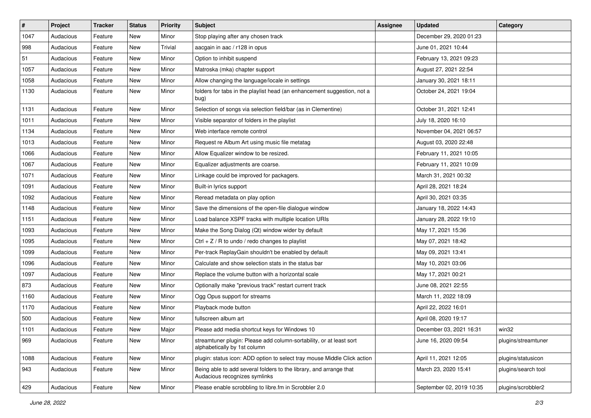| $\#$ | Project   | <b>Tracker</b> | <b>Status</b> | <b>Priority</b> | <b>Subject</b>                                                                                      | <b>Assignee</b> | <b>Updated</b>           | Category            |
|------|-----------|----------------|---------------|-----------------|-----------------------------------------------------------------------------------------------------|-----------------|--------------------------|---------------------|
| 1047 | Audacious | Feature        | New           | Minor           | Stop playing after any chosen track                                                                 |                 | December 29, 2020 01:23  |                     |
| 998  | Audacious | Feature        | New           | Trivial         | aacgain in aac / r128 in opus                                                                       |                 | June 01, 2021 10:44      |                     |
| 51   | Audacious | Feature        | New           | Minor           | Option to inhibit suspend                                                                           |                 | February 13, 2021 09:23  |                     |
| 1057 | Audacious | Feature        | New           | Minor           | Matroska (mka) chapter support                                                                      |                 | August 27, 2021 22:54    |                     |
| 1058 | Audacious | Feature        | New           | Minor           | Allow changing the language/locale in settings                                                      |                 | January 30, 2021 18:11   |                     |
| 1130 | Audacious | Feature        | New           | Minor           | folders for tabs in the playlist head (an enhancement suggestion, not a<br>bug)                     |                 | October 24, 2021 19:04   |                     |
| 1131 | Audacious | Feature        | New           | Minor           | Selection of songs via selection field/bar (as in Clementine)                                       |                 | October 31, 2021 12:41   |                     |
| 1011 | Audacious | Feature        | New           | Minor           | Visible separator of folders in the playlist                                                        |                 | July 18, 2020 16:10      |                     |
| 1134 | Audacious | Feature        | New           | Minor           | Web interface remote control                                                                        |                 | November 04, 2021 06:57  |                     |
| 1013 | Audacious | Feature        | New           | Minor           | Request re Album Art using music file metatag                                                       |                 | August 03, 2020 22:48    |                     |
| 1066 | Audacious | Feature        | New           | Minor           | Allow Equalizer window to be resized.                                                               |                 | February 11, 2021 10:05  |                     |
| 1067 | Audacious | Feature        | New           | Minor           | Equalizer adjustments are coarse.                                                                   |                 | February 11, 2021 10:09  |                     |
| 1071 | Audacious | Feature        | New           | Minor           | Linkage could be improved for packagers.                                                            |                 | March 31, 2021 00:32     |                     |
| 1091 | Audacious | Feature        | New           | Minor           | Built-in lyrics support                                                                             |                 | April 28, 2021 18:24     |                     |
| 1092 | Audacious | Feature        | New           | Minor           | Reread metadata on play option                                                                      |                 | April 30, 2021 03:35     |                     |
| 1148 | Audacious | Feature        | New           | Minor           | Save the dimensions of the open-file dialogue window                                                |                 | January 18, 2022 14:43   |                     |
| 1151 | Audacious | Feature        | New           | Minor           | Load balance XSPF tracks with multiple location URIs                                                |                 | January 28, 2022 19:10   |                     |
| 1093 | Audacious | Feature        | New           | Minor           | Make the Song Dialog (Qt) window wider by default                                                   |                 | May 17, 2021 15:36       |                     |
| 1095 | Audacious | Feature        | New           | Minor           | Ctrl + $Z$ / R to undo / redo changes to playlist                                                   |                 | May 07, 2021 18:42       |                     |
| 1099 | Audacious | Feature        | New           | Minor           | Per-track ReplayGain shouldn't be enabled by default                                                |                 | May 09, 2021 13:41       |                     |
| 1096 | Audacious | Feature        | New           | Minor           | Calculate and show selection stats in the status bar                                                |                 | May 10, 2021 03:06       |                     |
| 1097 | Audacious | Feature        | New           | Minor           | Replace the volume button with a horizontal scale                                                   |                 | May 17, 2021 00:21       |                     |
| 873  | Audacious | Feature        | New           | Minor           | Optionally make "previous track" restart current track                                              |                 | June 08, 2021 22:55      |                     |
| 1160 | Audacious | Feature        | New           | Minor           | Ogg Opus support for streams                                                                        |                 | March 11, 2022 18:09     |                     |
| 1170 | Audacious | Feature        | New           | Minor           | Playback mode button                                                                                |                 | April 22, 2022 16:01     |                     |
| 500  | Audacious | Feature        | New           | Minor           | fullscreen album art                                                                                |                 | April 08, 2020 19:17     |                     |
| 1101 | Audacious | Feature        | New           | Major           | Please add media shortcut keys for Windows 10                                                       |                 | December 03, 2021 16:31  | win32               |
| 969  | Audacious | Feature        | New           | Minor           | streamtuner plugin: Please add column-sortability, or at least sort<br>alphabetically by 1st column |                 | June 16, 2020 09:54      | plugins/streamtuner |
| 1088 | Audacious | Feature        | New           | Minor           | plugin: status icon: ADD option to select tray mouse Middle Click action                            |                 | April 11, 2021 12:05     | plugins/statusicon  |
| 943  | Audacious | Feature        | New           | Minor           | Being able to add several folders to the library, and arrange that<br>Audacious recognizes symlinks |                 | March 23, 2020 15:41     | plugins/search tool |
| 429  | Audacious | Feature        | New           | Minor           | Please enable scrobbling to libre.fm in Scrobbler 2.0                                               |                 | September 02, 2019 10:35 | plugins/scrobbler2  |